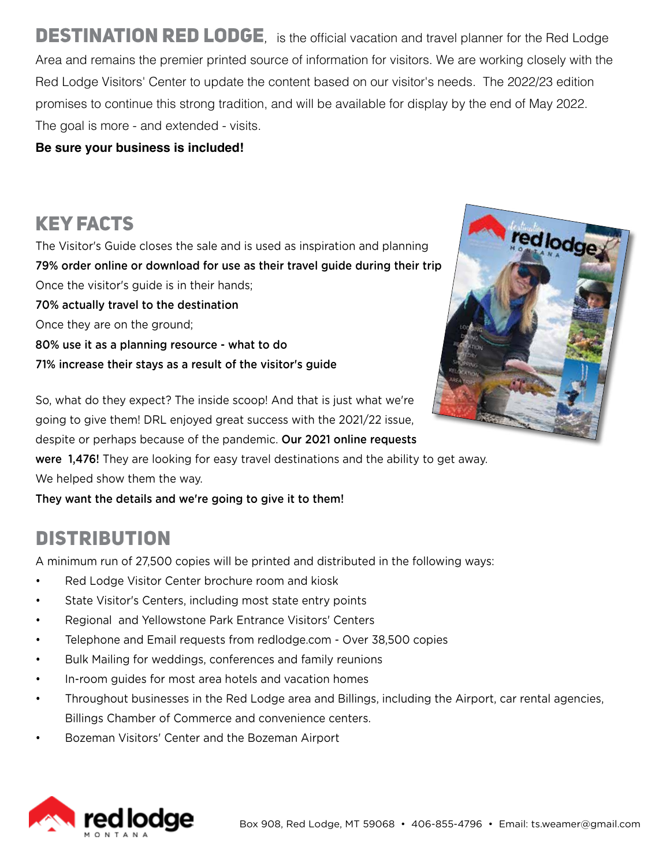**DESTINATION RED LODGE**, is the official vacation and travel planner for the Red Lodge Area and remains the premier printed source of information for visitors. We are working closely with the Red Lodge Visitors' Center to update the content based on our visitor's needs. The 2022/23 edition promises to continue this strong tradition, and will be available for display by the end of May 2022. The goal is more - and extended - visits.

**Be sure your business is included!**

## KEY FACTS

The Visitor's Guide closes the sale and is used as inspiration and planning 79% order online or download for use as their travel guide during their trip Once the visitor's guide is in their hands; 70% actually travel to the destination Once they are on the ground; 80% use it as a planning resource - what to do 71% increase their stays as a result of the visitor's guide



So, what do they expect? The inside scoop! And that is just what we're going to give them! DRL enjoyed great success with the 2021/22 issue, despite or perhaps because of the pandemic. Our 2021 online requests were 1,476! They are looking for easy travel destinations and the ability to get away. We helped show them the way.

They want the details and we're going to give it to them!

### **DISTRIBUTION**

A minimum run of 27,500 copies will be printed and distributed in the following ways:

- Red Lodge Visitor Center brochure room and kiosk
- State Visitor's Centers, including most state entry points
- Regional and Yellowstone Park Entrance Visitors' Centers
- Telephone and Email requests from redlodge.com Over 38,500 copies
- Bulk Mailing for weddings, conferences and family reunions
- In-room guides for most area hotels and vacation homes
- Throughout businesses in the Red Lodge area and Billings, including the Airport, car rental agencies, Billings Chamber of Commerce and convenience centers.
- Bozeman Visitors' Center and the Bozeman Airport

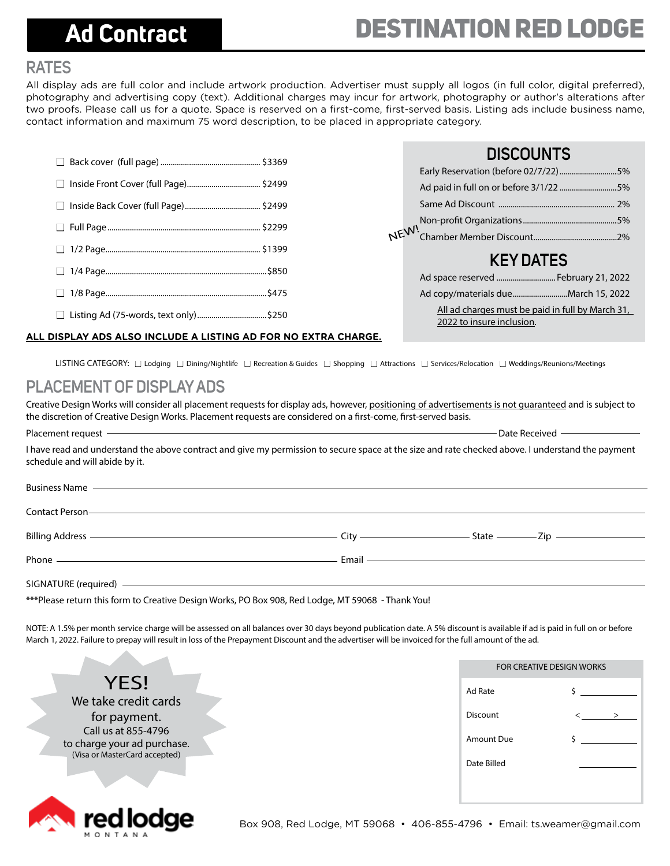## **Ad Contract**

### **RATES**

All display ads are full color and include artwork production. Advertiser must supply all logos (in full color, digital preferred), photography and advertising copy (text). Additional charges may incur for artwork, photography or author's alterations after two proofs. Please call us for a quote. Space is reserved on a first-come, first-served basis. Listing ads include business name, contact information and maximum 75 word description, to be placed in appropriate category.



### **DISCOUNTS**

|      | Early Reservation (before 02/7/22)5%                                          |  |
|------|-------------------------------------------------------------------------------|--|
| NEW! | Ad paid in full on or before 3/1/22 5%                                        |  |
|      |                                                                               |  |
|      |                                                                               |  |
|      |                                                                               |  |
|      |                                                                               |  |
|      | <b>KEY DATES</b>                                                              |  |
|      | Ad space reserved  February 21, 2022                                          |  |
|      |                                                                               |  |
|      | All ad charges must be paid in full by March 31,<br>2022 to insure inclusion. |  |

#### **ALL DISPLAY ADS ALSO INCLUDE A LISTING AD FOR NO EXTRA CHARGE.**

LISTING CATEGORY: □ Lodging □ Dining/Nightlife □ Recreation & Guides □ Shopping □ Attractions □ Services/Relocation □ Weddings/Reunions/Meetings

### **PLACEMENT OF DISPLAY ADS**

Creative Design Works will consider all placement requests for display ads, however, positioning of advertisements is not guaranteed and is subject to the discretion of Creative Design Works. Placement requests are considered on a first-come, first-served basis.

Placement request  $-$  Date Received  $-$ I have read and understand the above contract and give my permission to secure space at the size and rate checked above. I understand the payment schedule and will abide by it.

| Business Name <u>expressions</u> and the Business Name                                                                                                                                                                              |                            |  |
|-------------------------------------------------------------------------------------------------------------------------------------------------------------------------------------------------------------------------------------|----------------------------|--|
| Contact Person —————————————————————————————————                                                                                                                                                                                    |                            |  |
|                                                                                                                                                                                                                                     |                            |  |
| Phone <u>experience</u> and the contract of the contract of the contract of the contract of the contract of the contract of the contract of the contract of the contract of the contract of the contract of the contract of the con | Email <u>Communication</u> |  |
| SIGNATURE (required) ——————————————————————————————————                                                                                                                                                                             |                            |  |

\*\*\*Please return this form to Creative Design Works, PO Box 908, Red Lodge, MT 59068 - Thank You!

NOTE: A 1.5% per month service charge will be assessed on all balances over 30 days beyond publication date. A 5% discount is available if ad is paid in full on or before March 1, 2022. Failure to prepay will result in loss of the Prepayment Discount and the advertiser will be invoiced for the full amount of the ad.

**YFS!** We take credit cards for payment. Call us at 855-4796 to charge your ad purchase. (Visa or MasterCard accepted)



| Ad Rate     | \$     |
|-------------|--------|
| Discount    | $\geq$ |
| Amount Due  | \$     |
| Date Billed |        |
|             |        |

FOR CREATIVE DESIGN WORKS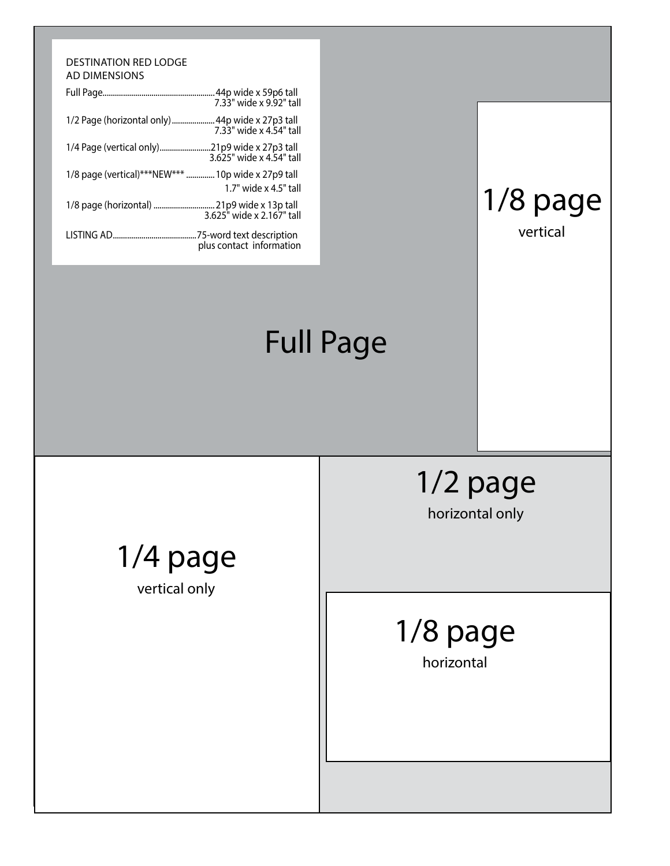#### DESTINATION RED LODGE AD DIMENSIONS

|                              | .44p wide x 59p6 tall<br>7.33" wide x 9.92" tall      |
|------------------------------|-------------------------------------------------------|
| 1/2 Page (horizontal only)   | 44p wide x 27p3 tall<br>7.33" wide x 4.54" tall       |
| 1/4 Page (vertical only)     | .21p9 wide x 27p3 tall<br>3.625" wide x 4.54" tall    |
| 1/8 page (vertical)***NEW*** | 10p wide x 27p9 tall<br>1.7" wide x 4.5" tall         |
| 1/8 page (horizontal)        | 21p9 wide x 13p tall<br>3.625" wide x 2.167" tall     |
| LISTING AD                   | .75-word text description<br>plus contact information |

## Full Page

1/8 page

vertical

1/2 page

horizontal only

# 1/8 page

horizontal

## 1/4 page

vertical only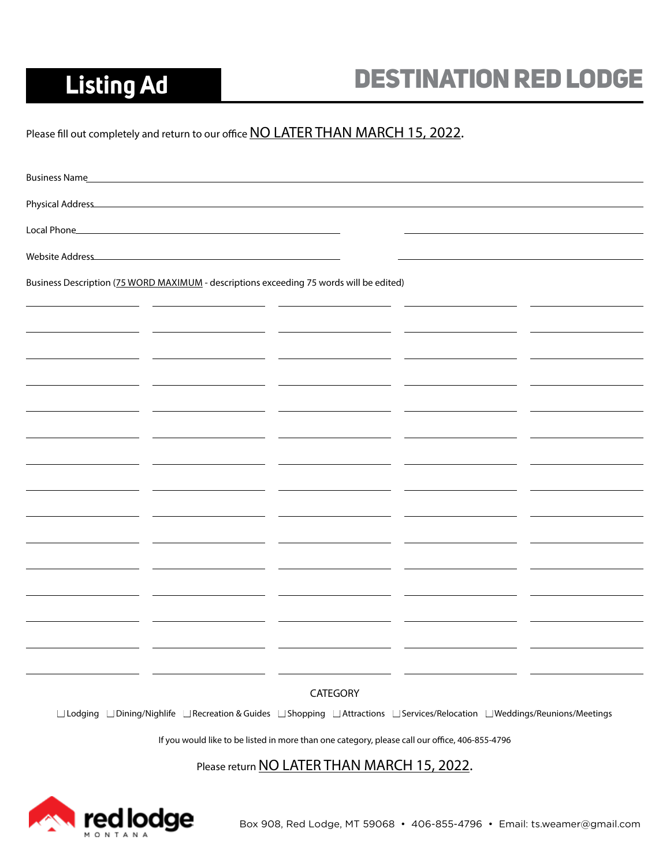## **Listing Ad**

## Destination Red Lodge

Please fill out completely and return to our office NO LATER THAN MARCH 15, 2022.

| <b>Business Name</b> |                                                                                                                               |                                                                                                |  |  |
|----------------------|-------------------------------------------------------------------------------------------------------------------------------|------------------------------------------------------------------------------------------------|--|--|
|                      |                                                                                                                               |                                                                                                |  |  |
| Local Phone          | <u> 1989 - Johann Stein, marwolaethau a bhann an t-Amhair an t-Amhair an t-Amhair an t-Amhair an t-Amhair an t-A</u>          |                                                                                                |  |  |
| Website Address      | <u> 1989 - Johann John Stone, markin film yn y brening yn y brening yn y brening y brening yn y brening y brenin</u>          |                                                                                                |  |  |
|                      | Business Description (75 WORD MAXIMUM - descriptions exceeding 75 words will be edited)                                       |                                                                                                |  |  |
|                      |                                                                                                                               |                                                                                                |  |  |
|                      |                                                                                                                               |                                                                                                |  |  |
|                      |                                                                                                                               |                                                                                                |  |  |
|                      |                                                                                                                               |                                                                                                |  |  |
|                      |                                                                                                                               |                                                                                                |  |  |
|                      |                                                                                                                               |                                                                                                |  |  |
|                      |                                                                                                                               |                                                                                                |  |  |
|                      |                                                                                                                               |                                                                                                |  |  |
|                      |                                                                                                                               |                                                                                                |  |  |
|                      |                                                                                                                               |                                                                                                |  |  |
|                      |                                                                                                                               |                                                                                                |  |  |
|                      |                                                                                                                               |                                                                                                |  |  |
|                      |                                                                                                                               |                                                                                                |  |  |
|                      |                                                                                                                               |                                                                                                |  |  |
|                      |                                                                                                                               |                                                                                                |  |  |
|                      |                                                                                                                               |                                                                                                |  |  |
|                      |                                                                                                                               | CATEGORY                                                                                       |  |  |
|                      | □ Lodging □ Dining/Nighlife □ Recreation & Guides □ Shopping □ Attractions □ Services/Relocation □ Weddings/Reunions/Meetings |                                                                                                |  |  |
|                      |                                                                                                                               | If you would like to be listed in more than one category, please call our office, 406-855-4796 |  |  |

Please return **NO LATER THAN MARCH 15, 2022.**